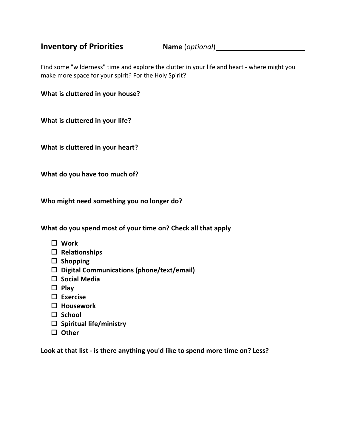## **Inventory of Priorities Name** (*optional*)

Find some "wilderness" time and explore the clutter in your life and heart - where might you make more space for your spirit? For the Holy Spirit?

**What is cluttered in your house?**

**What is cluttered in your life?**

**What is cluttered in your heart?**

**What do you have too much of?**

**Who might need something you no longer do?**

**What do you spend most of your time on? Check all that apply**

- o **Work**
- □ Relationships
- □ Shopping
- □ Digital Communications (phone/text/email)
- □ Social Media
- o **Play**
- □ Exercise
- □ Housework
- □ School
- o **Spiritual life/ministry**
- □ Other

**Look at that list - is there anything you'd like to spend more time on? Less?**